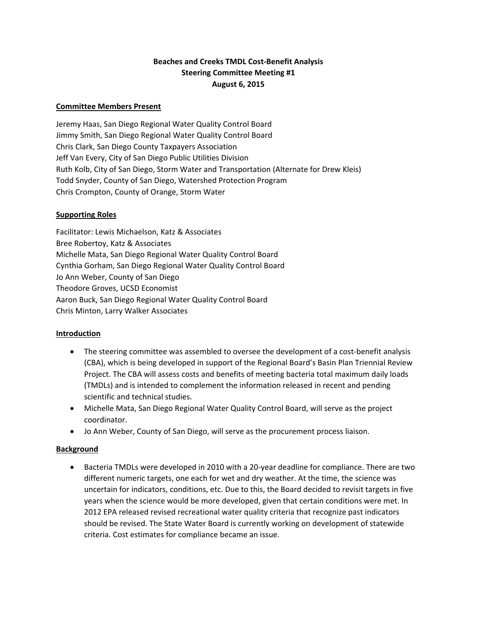# **Beaches and Creeks TMDL Cost‐Benefit Analysis Steering Committee Meeting #1 August 6, 2015**

### **Committee Members Present**

Jeremy Haas, San Diego Regional Water Quality Control Board Jimmy Smith, San Diego Regional Water Quality Control Board Chris Clark, San Diego County Taxpayers Association Jeff Van Every, City of San Diego Public Utilities Division Ruth Kolb, City of San Diego, Storm Water and Transportation (Alternate for Drew Kleis) Todd Snyder, County of San Diego, Watershed Protection Program Chris Crompton, County of Orange, Storm Water

## **Supporting Roles**

Facilitator: Lewis Michaelson, Katz & Associates Bree Robertoy, Katz & Associates Michelle Mata, San Diego Regional Water Quality Control Board Cynthia Gorham, San Diego Regional Water Quality Control Board Jo Ann Weber, County of San Diego Theodore Groves, UCSD Economist Aaron Buck, San Diego Regional Water Quality Control Board Chris Minton, Larry Walker Associates

## **Introduction**

- The steering committee was assembled to oversee the development of a cost-benefit analysis (CBA), which is being developed in support of the Regional Board's Basin Plan Triennial Review Project. The CBA will assess costs and benefits of meeting bacteria total maximum daily loads (TMDLs) and is intended to complement the information released in recent and pending scientific and technical studies.
- Michelle Mata, San Diego Regional Water Quality Control Board, will serve as the project coordinator.
- Jo Ann Weber, County of San Diego, will serve as the procurement process liaison.

## **Background**

● Bacteria TMDLs were developed in 2010 with a 20-year deadline for compliance. There are two different numeric targets, one each for wet and dry weather. At the time, the science was uncertain for indicators, conditions, etc. Due to this, the Board decided to revisit targets in five years when the science would be more developed, given that certain conditions were met. In 2012 EPA released revised recreational water quality criteria that recognize past indicators should be revised. The State Water Board is currently working on development of statewide criteria. Cost estimates for compliance became an issue.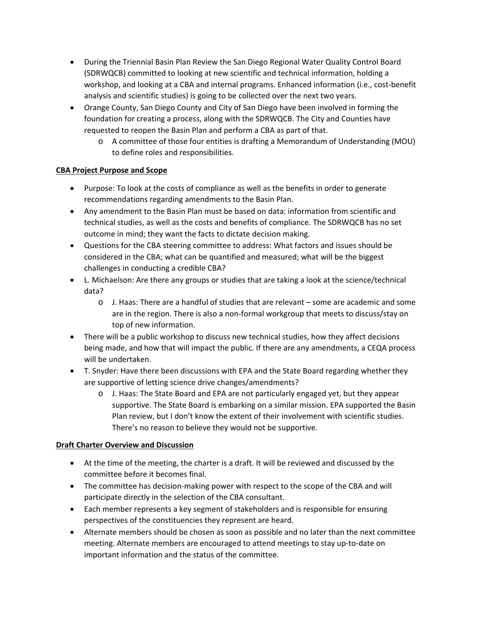- During the Triennial Basin Plan Review the San Diego Regional Water Quality Control Board (SDRWQCB) committed to looking at new scientific and technical information, holding a workshop, and looking at a CBA and internal programs. Enhanced information (i.e., cost-benefit analysis and scientific studies) is going to be collected over the next two years.
- Orange County, San Diego County and City of San Diego have been involved in forming the foundation for creating a process, along with the SDRWQCB. The City and Counties have requested to reopen the Basin Plan and perform a CBA as part of that.
	- o A committee of those four entities is drafting a Memorandum of Understanding (MOU) to define roles and responsibilities.

# **CBA Project Purpose and Scope**

- Purpose: To look at the costs of compliance as well as the benefits in order to generate recommendations regarding amendments to the Basin Plan.
- Any amendment to the Basin Plan must be based on data: information from scientific and technical studies, as well as the costs and benefits of compliance. The SDRWQCB has no set outcome in mind; they want the facts to dictate decision making.
- Questions for the CBA steering committee to address: What factors and issues should be considered in the CBA; what can be quantified and measured; what will be the biggest challenges in conducting a credible CBA?
- L. Michaelson: Are there any groups or studies that are taking a look at the science/technical data?
	- o J. Haas: There are a handful of studies that are relevant some are academic and some are in the region. There is also a non-formal workgroup that meets to discuss/stay on top of new information.
- There will be a public workshop to discuss new technical studies, how they affect decisions being made, and how that will impact the public. If there are any amendments, a CEQA process will be undertaken.
- T. Snyder: Have there been discussions with EPA and the State Board regarding whether they are supportive of letting science drive changes/amendments?
	- o J. Haas: The State Board and EPA are not particularly engaged yet, but they appear supportive. The State Board is embarking on a similar mission. EPA supported the Basin Plan review, but I don't know the extent of their involvement with scientific studies. There's no reason to believe they would not be supportive.

## **Draft Charter Overview and Discussion**

- At the time of the meeting, the charter is a draft. It will be reviewed and discussed by the committee before it becomes final.
- The committee has decision-making power with respect to the scope of the CBA and will participate directly in the selection of the CBA consultant.
- Each member represents a key segment of stakeholders and is responsible for ensuring perspectives of the constituencies they represent are heard.
- Alternate members should be chosen as soon as possible and no later than the next committee meeting. Alternate members are encouraged to attend meetings to stay up-to-date on important information and the status of the committee.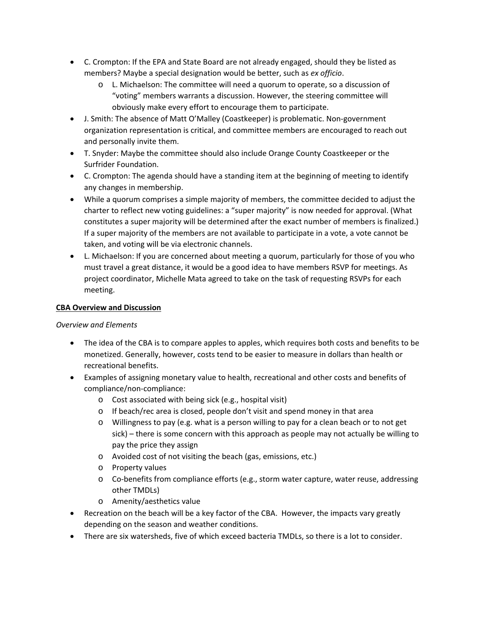- C. Crompton: If the EPA and State Board are not already engaged, should they be listed as members? Maybe a special designation would be better, such as *ex officio*.
	- o L. Michaelson: The committee will need a quorum to operate, so a discussion of "voting" members warrants a discussion. However, the steering committee will obviously make every effort to encourage them to participate.
- J. Smith: The absence of Matt O'Malley (Coastkeeper) is problematic. Non‐government organization representation is critical, and committee members are encouraged to reach out and personally invite them.
- T. Snyder: Maybe the committee should also include Orange County Coastkeeper or the Surfrider Foundation.
- C. Crompton: The agenda should have a standing item at the beginning of meeting to identify any changes in membership.
- While a quorum comprises a simple majority of members, the committee decided to adjust the charter to reflect new voting guidelines: a "super majority" is now needed for approval. (What constitutes a super majority will be determined after the exact number of members is finalized.) If a super majority of the members are not available to participate in a vote, a vote cannot be taken, and voting will be via electronic channels.
- L. Michaelson: If you are concerned about meeting a quorum, particularly for those of you who must travel a great distance, it would be a good idea to have members RSVP for meetings. As project coordinator, Michelle Mata agreed to take on the task of requesting RSVPs for each meeting.

### **CBA Overview and Discussion**

#### *Overview and Elements*

- The idea of the CBA is to compare apples to apples, which requires both costs and benefits to be monetized. Generally, however, costs tend to be easier to measure in dollars than health or recreational benefits.
- Examples of assigning monetary value to health, recreational and other costs and benefits of compliance/non‐compliance:
	- o Cost associated with being sick (e.g., hospital visit)
	- o If beach/rec area is closed, people don't visit and spend money in that area
	- o Willingness to pay (e.g. what is a person willing to pay for a clean beach or to not get sick) – there is some concern with this approach as people may not actually be willing to pay the price they assign
	- o Avoided cost of not visiting the beach (gas, emissions, etc.)
	- o Property values
	- o Co‐benefits from compliance efforts (e.g., storm water capture, water reuse, addressing other TMDLs)
	- o Amenity/aesthetics value
- Recreation on the beach will be a key factor of the CBA. However, the impacts vary greatly depending on the season and weather conditions.
- There are six watersheds, five of which exceed bacteria TMDLs, so there is a lot to consider.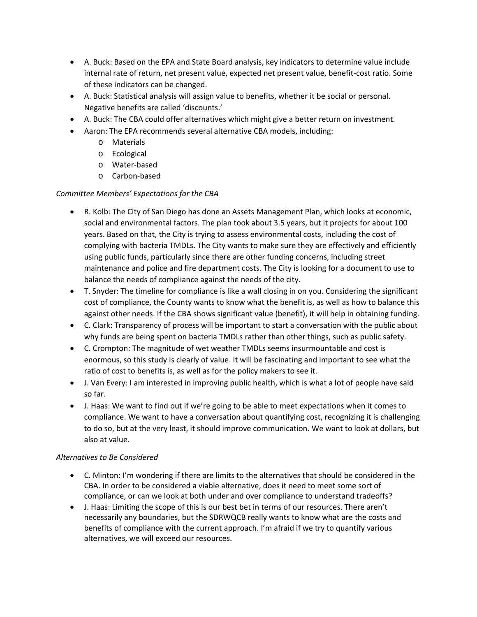- A. Buck: Based on the EPA and State Board analysis, key indicators to determine value include internal rate of return, net present value, expected net present value, benefit‐cost ratio. Some of these indicators can be changed.
- A. Buck: Statistical analysis will assign value to benefits, whether it be social or personal. Negative benefits are called 'discounts.'
- A. Buck: The CBA could offer alternatives which might give a better return on investment.
- Aaron: The EPA recommends several alternative CBA models, including:
	- o Materials
	- o Ecological
	- o Water‐based
	- o Carbon‐based

# *Committee Members' Expectations for the CBA*

- R. Kolb: The City of San Diego has done an Assets Management Plan, which looks at economic, social and environmental factors. The plan took about 3.5 years, but it projects for about 100 years. Based on that, the City is trying to assess environmental costs, including the cost of complying with bacteria TMDLs. The City wants to make sure they are effectively and efficiently using public funds, particularly since there are other funding concerns, including street maintenance and police and fire department costs. The City is looking for a document to use to balance the needs of compliance against the needs of the city.
- T. Snyder: The timeline for compliance is like a wall closing in on you. Considering the significant cost of compliance, the County wants to know what the benefit is, as well as how to balance this against other needs. If the CBA shows significant value (benefit), it will help in obtaining funding.
- C. Clark: Transparency of process will be important to start a conversation with the public about why funds are being spent on bacteria TMDLs rather than other things, such as public safety.
- C. Crompton: The magnitude of wet weather TMDLs seems insurmountable and cost is enormous, so this study is clearly of value. It will be fascinating and important to see what the ratio of cost to benefits is, as well as for the policy makers to see it.
- J. Van Every: I am interested in improving public health, which is what a lot of people have said so far.
- J. Haas: We want to find out if we're going to be able to meet expectations when it comes to compliance. We want to have a conversation about quantifying cost, recognizing it is challenging to do so, but at the very least, it should improve communication. We want to look at dollars, but also at value.

## *Alternatives to Be Considered*

- C. Minton: I'm wondering if there are limits to the alternatives that should be considered in the CBA. In order to be considered a viable alternative, does it need to meet some sort of compliance, or can we look at both under and over compliance to understand tradeoffs?
- J. Haas: Limiting the scope of this is our best bet in terms of our resources. There aren't necessarily any boundaries, but the SDRWQCB really wants to know what are the costs and benefits of compliance with the current approach. I'm afraid if we try to quantify various alternatives, we will exceed our resources.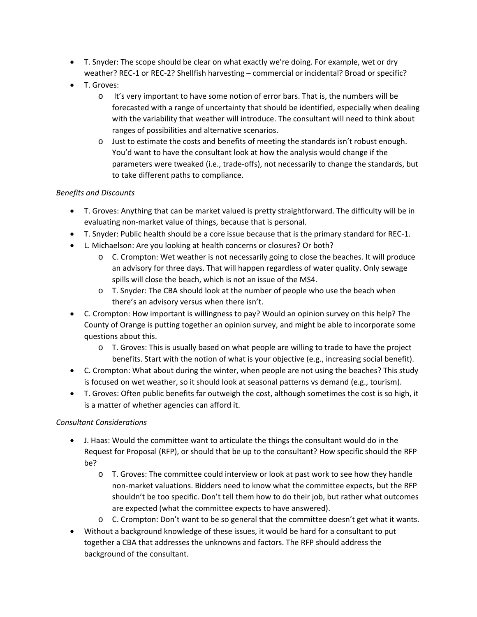- T. Snyder: The scope should be clear on what exactly we're doing. For example, wet or dry weather? REC-1 or REC-2? Shellfish harvesting – commercial or incidental? Broad or specific?
- T. Groves:
	- o It's very important to have some notion of error bars. That is, the numbers will be forecasted with a range of uncertainty that should be identified, especially when dealing with the variability that weather will introduce. The consultant will need to think about ranges of possibilities and alternative scenarios.
	- o Just to estimate the costs and benefits of meeting the standards isn't robust enough. You'd want to have the consultant look at how the analysis would change if the parameters were tweaked (i.e., trade‐offs), not necessarily to change the standards, but to take different paths to compliance.

### *Benefits and Discounts*

- T. Groves: Anything that can be market valued is pretty straightforward. The difficulty will be in evaluating non‐market value of things, because that is personal.
- T. Snyder: Public health should be a core issue because that is the primary standard for REC‐1.
- L. Michaelson: Are you looking at health concerns or closures? Or both?
	- o C. Crompton: Wet weather is not necessarily going to close the beaches. It will produce an advisory for three days. That will happen regardless of water quality. Only sewage spills will close the beach, which is not an issue of the MS4.
	- o T. Snyder: The CBA should look at the number of people who use the beach when there's an advisory versus when there isn't.
- C. Crompton: How important is willingness to pay? Would an opinion survey on this help? The County of Orange is putting together an opinion survey, and might be able to incorporate some questions about this.
	- o T. Groves: This is usually based on what people are willing to trade to have the project benefits. Start with the notion of what is your objective (e.g., increasing social benefit).
- C. Crompton: What about during the winter, when people are not using the beaches? This study is focused on wet weather, so it should look at seasonal patterns vs demand (e.g., tourism).
- T. Groves: Often public benefits far outweigh the cost, although sometimes the cost is so high, it is a matter of whether agencies can afford it.

#### *Consultant Considerations*

- J. Haas: Would the committee want to articulate the things the consultant would do in the Request for Proposal (RFP), or should that be up to the consultant? How specific should the RFP be?
	- o T. Groves: The committee could interview or look at past work to see how they handle non‐market valuations. Bidders need to know what the committee expects, but the RFP shouldn't be too specific. Don't tell them how to do their job, but rather what outcomes are expected (what the committee expects to have answered).
	- o C. Crompton: Don't want to be so general that the committee doesn't get what it wants.
- Without a background knowledge of these issues, it would be hard for a consultant to put together a CBA that addresses the unknowns and factors. The RFP should address the background of the consultant.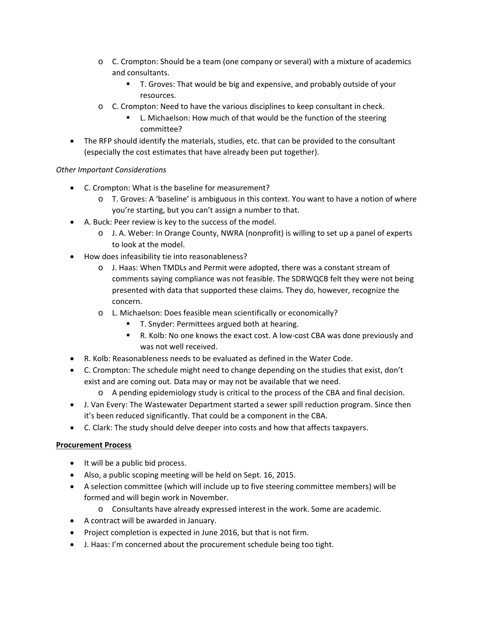- $\circ$  C. Crompton: Should be a team (one company or several) with a mixture of academics and consultants.
	- T. Groves: That would be big and expensive, and probably outside of your resources.
- o C. Crompton: Need to have the various disciplines to keep consultant in check.
	- L. Michaelson: How much of that would be the function of the steering committee?
- The RFP should identify the materials, studies, etc. that can be provided to the consultant (especially the cost estimates that have already been put together).

# *Other Important Considerations*

- C. Crompton: What is the baseline for measurement?
	- o T. Groves: A 'baseline' is ambiguous in this context. You want to have a notion of where you're starting, but you can't assign a number to that.
- A. Buck: Peer review is key to the success of the model.
	- o J. A. Weber: In Orange County, NWRA (nonprofit) is willing to set up a panel of experts to look at the model.
- How does infeasibility tie into reasonableness?
	- o J. Haas: When TMDLs and Permit were adopted, there was a constant stream of comments saying compliance was not feasible. The SDRWQCB felt they were not being presented with data that supported these claims. They do, however, recognize the concern.
	- o L. Michaelson: Does feasible mean scientifically or economically?
		- T. Snyder: Permittees argued both at hearing.
		- R. Kolb: No one knows the exact cost. A low-cost CBA was done previously and was not well received.
- R. Kolb: Reasonableness needs to be evaluated as defined in the Water Code.
- C. Crompton: The schedule might need to change depending on the studies that exist, don't exist and are coming out. Data may or may not be available that we need.
	- o A pending epidemiology study is critical to the process of the CBA and final decision.
- J. Van Every: The Wastewater Department started a sewer spill reduction program. Since then it's been reduced significantly. That could be a component in the CBA.
- C. Clark: The study should delve deeper into costs and how that affects taxpayers.

## **Procurement Process**

- It will be a public bid process.
- Also, a public scoping meeting will be held on Sept. 16, 2015.
- A selection committee (which will include up to five steering committee members) will be formed and will begin work in November.
	- o Consultants have already expressed interest in the work. Some are academic.
- A contract will be awarded in January.
- Project completion is expected in June 2016, but that is not firm.
- J. Haas: I'm concerned about the procurement schedule being too tight.